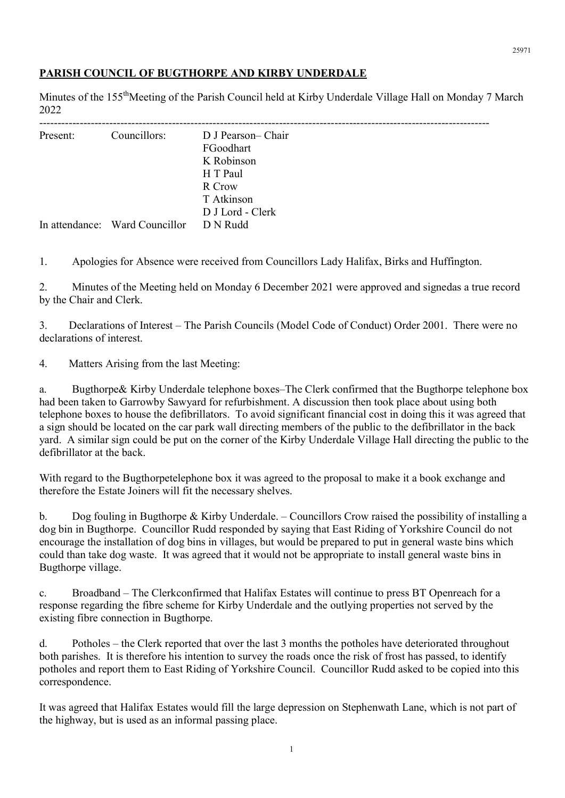## PARISH COUNCIL OF BUGTHORPE AND KIRBY UNDERDALE

Minutes of the 155<sup>th</sup>Meeting of the Parish Council held at Kirby Underdale Village Hall on Monday 7 March 2022

| Present: | Councillors:                   | D J Pearson-Chair<br>FGoodhart |
|----------|--------------------------------|--------------------------------|
|          |                                | K Robinson                     |
|          |                                | H T Paul                       |
|          |                                | R Crow                         |
|          |                                | T Atkinson                     |
|          |                                | D J Lord - Clerk               |
|          | In attendance: Ward Councillor | D N Rudd                       |

1. Apologies for Absence were received from Councillors Lady Halifax, Birks and Huffington.

2. Minutes of the Meeting held on Monday 6 December 2021 were approved and signedas a true record by the Chair and Clerk.

3. Declarations of Interest – The Parish Councils (Model Code of Conduct) Order 2001. There were no declarations of interest.

4. Matters Arising from the last Meeting:

a. Bugthorpe& Kirby Underdale telephone boxes–The Clerk confirmed that the Bugthorpe telephone box had been taken to Garrowby Sawyard for refurbishment. A discussion then took place about using both telephone boxes to house the defibrillators. To avoid significant financial cost in doing this it was agreed that a sign should be located on the car park wall directing members of the public to the defibrillator in the back yard. A similar sign could be put on the corner of the Kirby Underdale Village Hall directing the public to the defibrillator at the back.

With regard to the Bugthorpetelephone box it was agreed to the proposal to make it a book exchange and therefore the Estate Joiners will fit the necessary shelves.

b. Dog fouling in Bugthorpe & Kirby Underdale. – Councillors Crow raised the possibility of installing a dog bin in Bugthorpe. Councillor Rudd responded by saying that East Riding of Yorkshire Council do not encourage the installation of dog bins in villages, but would be prepared to put in general waste bins which could than take dog waste. It was agreed that it would not be appropriate to install general waste bins in Bugthorpe village.

c. Broadband – The Clerkconfirmed that Halifax Estates will continue to press BT Openreach for a response regarding the fibre scheme for Kirby Underdale and the outlying properties not served by the existing fibre connection in Bugthorpe.

d. Potholes – the Clerk reported that over the last 3 months the potholes have deteriorated throughout both parishes. It is therefore his intention to survey the roads once the risk of frost has passed, to identify potholes and report them to East Riding of Yorkshire Council. Councillor Rudd asked to be copied into this correspondence.

It was agreed that Halifax Estates would fill the large depression on Stephenwath Lane, which is not part of the highway, but is used as an informal passing place.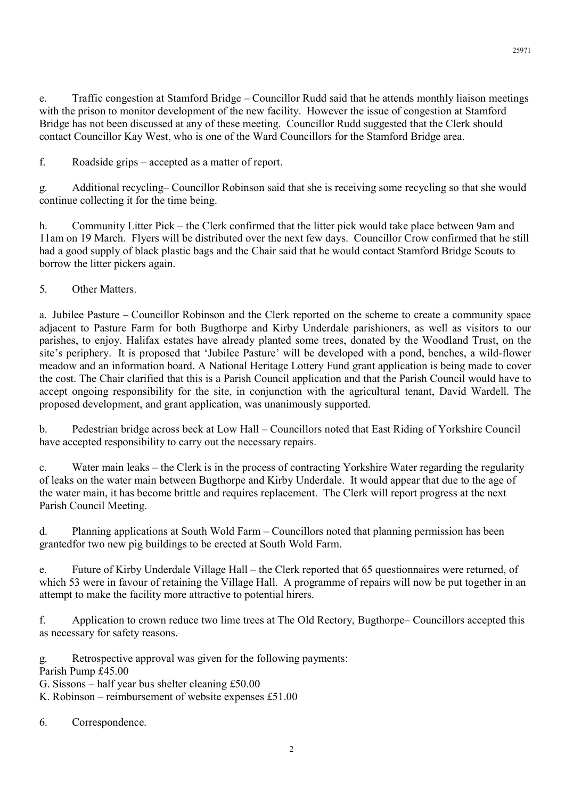e. Traffic congestion at Stamford Bridge – Councillor Rudd said that he attends monthly liaison meetings with the prison to monitor development of the new facility. However the issue of congestion at Stamford Bridge has not been discussed at any of these meeting. Councillor Rudd suggested that the Clerk should contact Councillor Kay West, who is one of the Ward Councillors for the Stamford Bridge area.

f. Roadside grips – accepted as a matter of report.

g. Additional recycling– Councillor Robinson said that she is receiving some recycling so that she would continue collecting it for the time being.

h. Community Litter Pick – the Clerk confirmed that the litter pick would take place between 9am and 11am on 19 March. Flyers will be distributed over the next few days. Councillor Crow confirmed that he still had a good supply of black plastic bags and the Chair said that he would contact Stamford Bridge Scouts to borrow the litter pickers again.

## 5. Other Matters.

a. Jubilee Pasture – Councillor Robinson and the Clerk reported on the scheme to create a community space adjacent to Pasture Farm for both Bugthorpe and Kirby Underdale parishioners, as well as visitors to our parishes, to enjoy. Halifax estates have already planted some trees, donated by the Woodland Trust, on the site's periphery. It is proposed that 'Jubilee Pasture' will be developed with a pond, benches, a wild-flower meadow and an information board. A National Heritage Lottery Fund grant application is being made to cover the cost. The Chair clarified that this is a Parish Council application and that the Parish Council would have to accept ongoing responsibility for the site, in conjunction with the agricultural tenant, David Wardell. The proposed development, and grant application, was unanimously supported.

b. Pedestrian bridge across beck at Low Hall – Councillors noted that East Riding of Yorkshire Council have accepted responsibility to carry out the necessary repairs.

c. Water main leaks – the Clerk is in the process of contracting Yorkshire Water regarding the regularity of leaks on the water main between Bugthorpe and Kirby Underdale. It would appear that due to the age of the water main, it has become brittle and requires replacement. The Clerk will report progress at the next Parish Council Meeting.

d. Planning applications at South Wold Farm – Councillors noted that planning permission has been grantedfor two new pig buildings to be erected at South Wold Farm.

e. Future of Kirby Underdale Village Hall – the Clerk reported that 65 questionnaires were returned, of which 53 were in favour of retaining the Village Hall. A programme of repairs will now be put together in an attempt to make the facility more attractive to potential hirers.

f. Application to crown reduce two lime trees at The Old Rectory, Bugthorpe– Councillors accepted this as necessary for safety reasons.

g. Retrospective approval was given for the following payments: Parish Pump £45.00 G. Sissons – half year bus shelter cleaning £50.00

K. Robinson – reimbursement of website expenses £51.00

6. Correspondence.